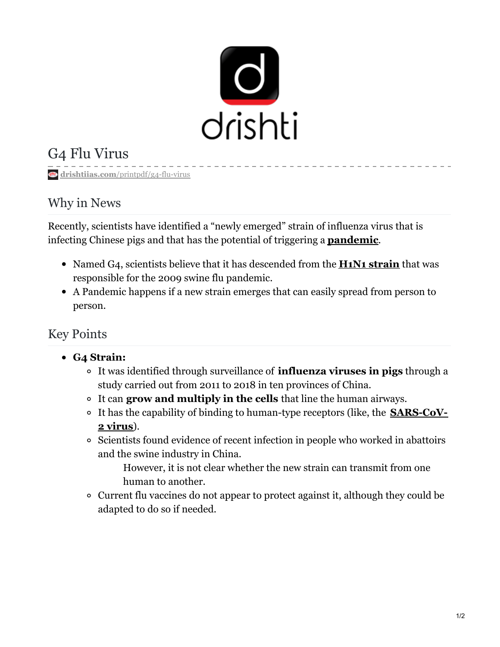

# G4 Flu Virus

**drishtiias.com**[/printpdf/g4-flu-virus](https://www.drishtiias.com/printpdf/g4-flu-virus)

### Why in News

Recently, scientists have identified a "newly emerged" strain of influenza virus that is infecting Chinese pigs and that has the potential of triggering a **[pandemic](https://www.drishtiias.com/daily-updates/daily-news-analysis/covid-19-now-pandemic-who)**.

- Named G4, scientists believe that it has descended from the **H1N1 [strain](https://www.drishtiias.com/daily-updates/daily-news-analysis/important-facts-for-prelims-22nd-january-2019)** that was responsible for the 2009 swine flu pandemic.
- A Pandemic happens if a new strain emerges that can easily spread from person to person.

## Key Points

#### **G4 Strain:**

- It was identified through surveillance of **influenza viruses in pigs** through a study carried out from 2011 to 2018 in ten provinces of China.
- It can **grow and multiply in the cells** that line the human airways.
- It has the capability of binding to human-type receptors (like, the **[SARS-CoV-](https://www.drishtiias.com/daily-updates/daily-news-editorials/novel-coronavirus-2019-ncov)2 virus**).
- <sup>o</sup> Scientists found evidence of recent infection in people who worked in abattoirs and the swine industry in China.

However, it is not clear whether the new strain can transmit from one human to another.

Current flu vaccines do not appear to protect against it, although they could be adapted to do so if needed.